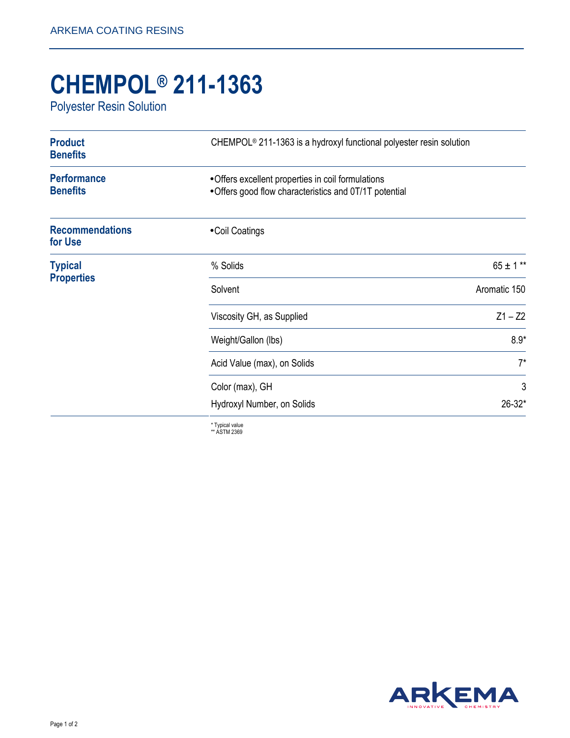## **CHEMPOL® 211-1363**

Polyester Resin Solution

| <b>Product</b><br><b>Benefits</b>     | CHEMPOL <sup>®</sup> 211-1363 is a hydroxyl functional polyester resin solution                              |               |
|---------------------------------------|--------------------------------------------------------------------------------------------------------------|---------------|
| <b>Performance</b><br><b>Benefits</b> | • Offers excellent properties in coil formulations<br>• Offers good flow characteristics and 0T/1T potential |               |
| <b>Recommendations</b><br>for Use     | • Coil Coatings                                                                                              |               |
| <b>Typical</b><br><b>Properties</b>   | % Solids                                                                                                     | $65 \pm 1***$ |
|                                       | Solvent                                                                                                      | Aromatic 150  |
|                                       | Viscosity GH, as Supplied                                                                                    | $Z1 - Z2$     |
|                                       | Weight/Gallon (lbs)                                                                                          | $8.9*$        |
|                                       | Acid Value (max), on Solids                                                                                  | $7^*$         |
|                                       | Color (max), GH                                                                                              | 3             |
|                                       | Hydroxyl Number, on Solids                                                                                   | $26 - 32*$    |

\* Typical value \*\* ASTM 2369